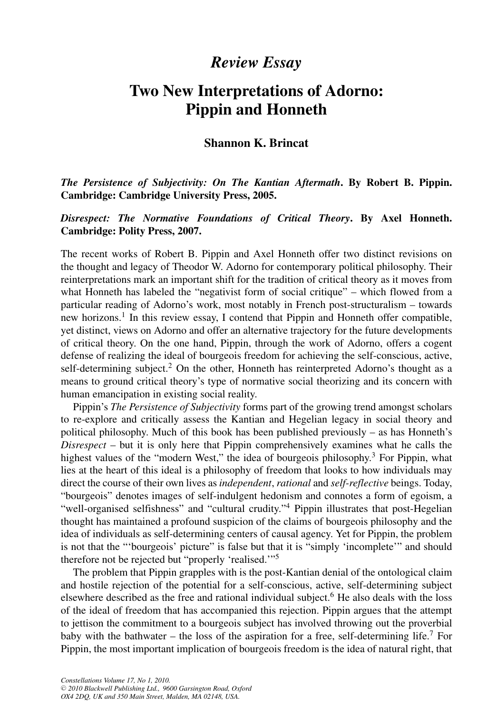## *Review Essay*

# **Two New Interpretations of Adorno: Pippin and Honneth**

### **Shannon K. Brincat**

*The Persistence of Subjectivity: On The Kantian Aftermath***. By Robert B. Pippin. Cambridge: Cambridge University Press, 2005.**

#### *Disrespect: The Normative Foundations of Critical Theory***. By Axel Honneth. Cambridge: Polity Press, 2007.**

The recent works of Robert B. Pippin and Axel Honneth offer two distinct revisions on the thought and legacy of Theodor W. Adorno for contemporary political philosophy. Their reinterpretations mark an important shift for the tradition of critical theory as it moves from what Honneth has labeled the "negativist form of social critique" – which flowed from a particular reading of Adorno's work, most notably in French post-structuralism – towards new horizons.<sup>1</sup> In this review essay, I contend that Pippin and Honneth offer compatible, yet distinct, views on Adorno and offer an alternative trajectory for the future developments of critical theory. On the one hand, Pippin, through the work of Adorno, offers a cogent defense of realizing the ideal of bourgeois freedom for achieving the self-conscious, active, self-determining subject.<sup>2</sup> On the other, Honneth has reinterpreted Adorno's thought as a means to ground critical theory's type of normative social theorizing and its concern with human emancipation in existing social reality.

Pippin's *The Persistence of Subjectivity* forms part of the growing trend amongst scholars to re-explore and critically assess the Kantian and Hegelian legacy in social theory and political philosophy. Much of this book has been published previously – as has Honneth's *Disrespect* – but it is only here that Pippin comprehensively examines what he calls the highest values of the "modern West," the idea of bourgeois philosophy.<sup>3</sup> For Pippin, what lies at the heart of this ideal is a philosophy of freedom that looks to how individuals may direct the course of their own lives as *independent*, *rational* and *self-reflective* beings. Today, "bourgeois" denotes images of self-indulgent hedonism and connotes a form of egoism, a "well-organised selfishness" and "cultural crudity."<sup>4</sup> Pippin illustrates that post-Hegelian thought has maintained a profound suspicion of the claims of bourgeois philosophy and the idea of individuals as self-determining centers of causal agency. Yet for Pippin, the problem is not that the "'bourgeois' picture" is false but that it is "simply 'incomplete'" and should therefore not be rejected but "properly 'realised.'"<sup>5</sup>

The problem that Pippin grapples with is the post-Kantian denial of the ontological claim and hostile rejection of the potential for a self-conscious, active, self-determining subject elsewhere described as the free and rational individual subject.<sup>6</sup> He also deals with the loss of the ideal of freedom that has accompanied this rejection. Pippin argues that the attempt to jettison the commitment to a bourgeois subject has involved throwing out the proverbial baby with the bathwater – the loss of the aspiration for a free, self-determining life.<sup>7</sup> For Pippin, the most important implication of bourgeois freedom is the idea of natural right, that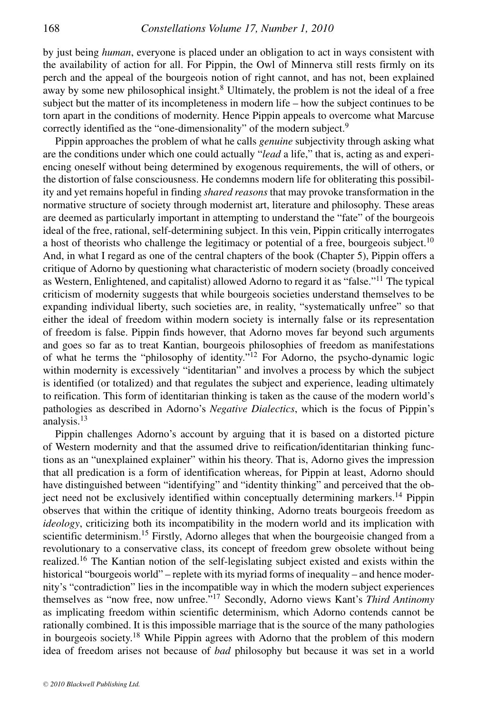by just being *human*, everyone is placed under an obligation to act in ways consistent with the availability of action for all. For Pippin, the Owl of Minnerva still rests firmly on its perch and the appeal of the bourgeois notion of right cannot, and has not, been explained away by some new philosophical insight.<sup>8</sup> Ultimately, the problem is not the ideal of a free subject but the matter of its incompleteness in modern life – how the subject continues to be torn apart in the conditions of modernity. Hence Pippin appeals to overcome what Marcuse correctly identified as the "one-dimensionality" of the modern subject.<sup>9</sup>

Pippin approaches the problem of what he calls *genuine* subjectivity through asking what are the conditions under which one could actually "*lead* a life," that is, acting as and experiencing oneself without being determined by exogenous requirements, the will of others, or the distortion of false consciousness. He condemns modern life for obliterating this possibility and yet remains hopeful in finding *shared reasons* that may provoke transformation in the normative structure of society through modernist art, literature and philosophy. These areas are deemed as particularly important in attempting to understand the "fate" of the bourgeois ideal of the free, rational, self-determining subject. In this vein, Pippin critically interrogates a host of theorists who challenge the legitimacy or potential of a free, bourgeois subject.<sup>10</sup> And, in what I regard as one of the central chapters of the book (Chapter 5), Pippin offers a critique of Adorno by questioning what characteristic of modern society (broadly conceived as Western, Enlightened, and capitalist) allowed Adorno to regard it as "false."<sup>11</sup> The typical criticism of modernity suggests that while bourgeois societies understand themselves to be expanding individual liberty, such societies are, in reality, "systematically unfree" so that either the ideal of freedom within modern society is internally false or its representation of freedom is false. Pippin finds however, that Adorno moves far beyond such arguments and goes so far as to treat Kantian, bourgeois philosophies of freedom as manifestations of what he terms the "philosophy of identity."12 For Adorno, the psycho-dynamic logic within modernity is excessively "identitarian" and involves a process by which the subject is identified (or totalized) and that regulates the subject and experience, leading ultimately to reification. This form of identitarian thinking is taken as the cause of the modern world's pathologies as described in Adorno's *Negative Dialectics*, which is the focus of Pippin's analysis.<sup>13</sup>

Pippin challenges Adorno's account by arguing that it is based on a distorted picture of Western modernity and that the assumed drive to reification/identitarian thinking functions as an "unexplained explainer" within his theory. That is, Adorno gives the impression that all predication is a form of identification whereas, for Pippin at least, Adorno should have distinguished between "identifying" and "identity thinking" and perceived that the object need not be exclusively identified within conceptually determining markers.<sup>14</sup> Pippin observes that within the critique of identity thinking, Adorno treats bourgeois freedom as *ideology*, criticizing both its incompatibility in the modern world and its implication with scientific determinism.<sup>15</sup> Firstly, Adorno alleges that when the bourgeoisie changed from a revolutionary to a conservative class, its concept of freedom grew obsolete without being realized.<sup>16</sup> The Kantian notion of the self-legislating subject existed and exists within the historical "bourgeois world" – replete with its myriad forms of inequality – and hence modernity's "contradiction" lies in the incompatible way in which the modern subject experiences themselves as "now free, now unfree."<sup>17</sup> Secondly, Adorno views Kant's *Third Antinomy* as implicating freedom within scientific determinism, which Adorno contends cannot be rationally combined. It is this impossible marriage that is the source of the many pathologies in bourgeois society.<sup>18</sup> While Pippin agrees with Adorno that the problem of this modern idea of freedom arises not because of *bad* philosophy but because it was set in a world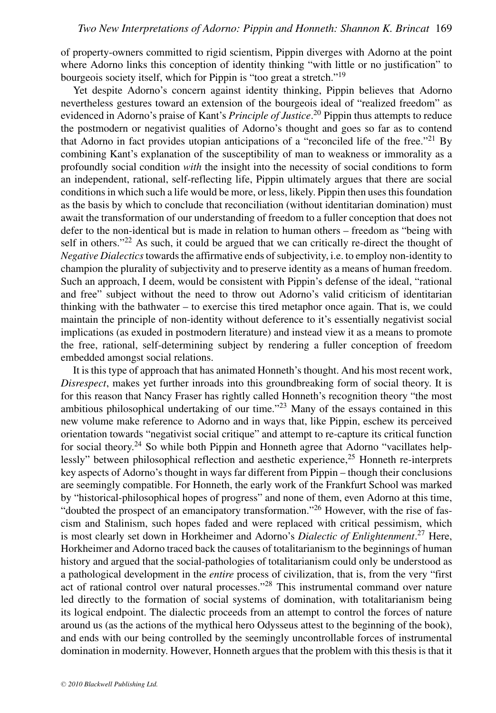of property-owners committed to rigid scientism, Pippin diverges with Adorno at the point where Adorno links this conception of identity thinking "with little or no justification" to bourgeois society itself, which for Pippin is "too great a stretch."<sup>19</sup>

Yet despite Adorno's concern against identity thinking, Pippin believes that Adorno nevertheless gestures toward an extension of the bourgeois ideal of "realized freedom" as evidenced in Adorno's praise of Kant's *Principle of Justice*. <sup>20</sup> Pippin thus attempts to reduce the postmodern or negativist qualities of Adorno's thought and goes so far as to contend that Adorno in fact provides utopian anticipations of a "reconciled life of the free."<sup>21</sup> By combining Kant's explanation of the susceptibility of man to weakness or immorality as a profoundly social condition *with* the insight into the necessity of social conditions to form an independent, rational, self-reflecting life, Pippin ultimately argues that there are social conditions in which such a life would be more, or less, likely. Pippin then uses this foundation as the basis by which to conclude that reconciliation (without identitarian domination) must await the transformation of our understanding of freedom to a fuller conception that does not defer to the non-identical but is made in relation to human others – freedom as "being with self in others."<sup>22</sup> As such, it could be argued that we can critically re-direct the thought of *Negative Dialectics*towards the affirmative ends of subjectivity, i.e. to employ non-identity to champion the plurality of subjectivity and to preserve identity as a means of human freedom. Such an approach, I deem, would be consistent with Pippin's defense of the ideal, "rational and free" subject without the need to throw out Adorno's valid criticism of identitarian thinking with the bathwater – to exercise this tired metaphor once again. That is, we could maintain the principle of non-identity without deference to it's essentially negativist social implications (as exuded in postmodern literature) and instead view it as a means to promote the free, rational, self-determining subject by rendering a fuller conception of freedom embedded amongst social relations.

It is this type of approach that has animated Honneth's thought. And his most recent work, *Disrespect*, makes yet further inroads into this groundbreaking form of social theory. It is for this reason that Nancy Fraser has rightly called Honneth's recognition theory "the most ambitious philosophical undertaking of our time."23 Many of the essays contained in this new volume make reference to Adorno and in ways that, like Pippin, eschew its perceived orientation towards "negativist social critique" and attempt to re-capture its critical function for social theory.<sup>24</sup> So while both Pippin and Honneth agree that Adorno "vacillates helplessly" between philosophical reflection and aesthetic experience,<sup>25</sup> Honneth re-interprets key aspects of Adorno's thought in ways far different from Pippin – though their conclusions are seemingly compatible. For Honneth, the early work of the Frankfurt School was marked by "historical-philosophical hopes of progress" and none of them, even Adorno at this time, "doubted the prospect of an emancipatory transformation."<sup>26</sup> However, with the rise of fascism and Stalinism, such hopes faded and were replaced with critical pessimism, which is most clearly set down in Horkheimer and Adorno's *Dialectic of Enlightenment*. <sup>27</sup> Here, Horkheimer and Adorno traced back the causes of totalitarianism to the beginnings of human history and argued that the social-pathologies of totalitarianism could only be understood as a pathological development in the *entire* process of civilization, that is, from the very "first act of rational control over natural processes."<sup>28</sup> This instrumental command over nature led directly to the formation of social systems of domination, with totalitarianism being its logical endpoint. The dialectic proceeds from an attempt to control the forces of nature around us (as the actions of the mythical hero Odysseus attest to the beginning of the book), and ends with our being controlled by the seemingly uncontrollable forces of instrumental domination in modernity. However, Honneth argues that the problem with this thesis is that it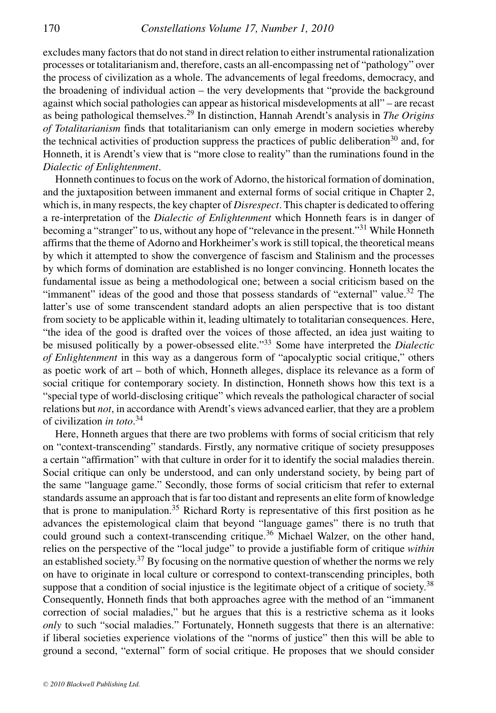excludes many factors that do not stand in direct relation to either instrumental rationalization processes or totalitarianism and, therefore, casts an all-encompassing net of "pathology" over the process of civilization as a whole. The advancements of legal freedoms, democracy, and the broadening of individual action – the very developments that "provide the background against which social pathologies can appear as historical misdevelopments at all" – are recast as being pathological themselves.<sup>29</sup> In distinction, Hannah Arendt's analysis in *The Origins of Totalitarianism* finds that totalitarianism can only emerge in modern societies whereby the technical activities of production suppress the practices of public deliberation<sup>30</sup> and, for Honneth, it is Arendt's view that is "more close to reality" than the ruminations found in the *Dialectic of Enlightenment*.

Honneth continues to focus on the work of Adorno, the historical formation of domination, and the juxtaposition between immanent and external forms of social critique in Chapter 2, which is, in many respects, the key chapter of *Disrespect*. This chapter is dedicated to offering a re-interpretation of the *Dialectic of Enlightenment* which Honneth fears is in danger of becoming a "stranger" to us, without any hope of "relevance in the present."<sup>31</sup> While Honneth affirms that the theme of Adorno and Horkheimer's work is still topical, the theoretical means by which it attempted to show the convergence of fascism and Stalinism and the processes by which forms of domination are established is no longer convincing. Honneth locates the fundamental issue as being a methodological one; between a social criticism based on the "immanent" ideas of the good and those that possess standards of "external" value. $32$  The latter's use of some transcendent standard adopts an alien perspective that is too distant from society to be applicable within it, leading ultimately to totalitarian consequences. Here, "the idea of the good is drafted over the voices of those affected, an idea just waiting to be misused politically by a power-obsessed elite."<sup>33</sup> Some have interpreted the *Dialectic of Enlightenment* in this way as a dangerous form of "apocalyptic social critique," others as poetic work of art – both of which, Honneth alleges, displace its relevance as a form of social critique for contemporary society. In distinction, Honneth shows how this text is a "special type of world-disclosing critique" which reveals the pathological character of social relations but *not*, in accordance with Arendt's views advanced earlier, that they are a problem of civilization *in toto*. 34

Here, Honneth argues that there are two problems with forms of social criticism that rely on "context-transcending" standards. Firstly, any normative critique of society presupposes a certain "affirmation" with that culture in order for it to identify the social maladies therein. Social critique can only be understood, and can only understand society, by being part of the same "language game." Secondly, those forms of social criticism that refer to external standards assume an approach that is far too distant and represents an elite form of knowledge that is prone to manipulation.<sup>35</sup> Richard Rorty is representative of this first position as he advances the epistemological claim that beyond "language games" there is no truth that could ground such a context-transcending critique.<sup>36</sup> Michael Walzer, on the other hand, relies on the perspective of the "local judge" to provide a justifiable form of critique *within* an established society.<sup>37</sup> By focusing on the normative question of whether the norms we rely on have to originate in local culture or correspond to context-transcending principles, both suppose that a condition of social injustice is the legitimate object of a critique of society.<sup>38</sup> Consequently, Honneth finds that both approaches agree with the method of an "immanent correction of social maladies," but he argues that this is a restrictive schema as it looks *only* to such "social maladies." Fortunately, Honneth suggests that there is an alternative: if liberal societies experience violations of the "norms of justice" then this will be able to ground a second, "external" form of social critique. He proposes that we should consider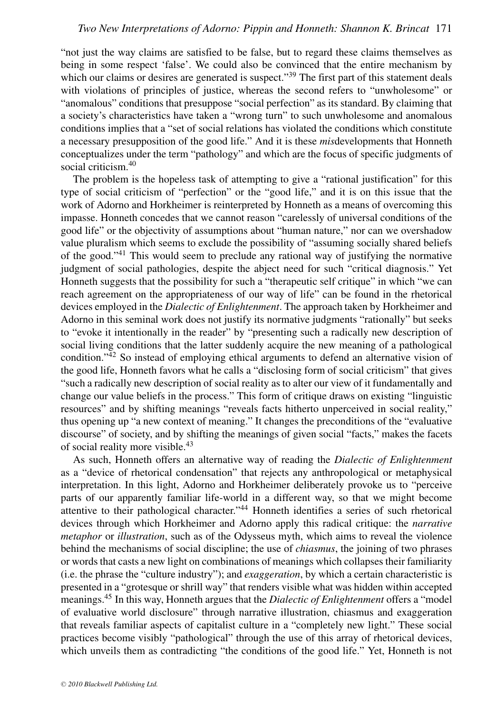"not just the way claims are satisfied to be false, but to regard these claims themselves as being in some respect 'false'. We could also be convinced that the entire mechanism by which our claims or desires are generated is suspect."<sup>39</sup> The first part of this statement deals with violations of principles of justice, whereas the second refers to "unwholesome" or "anomalous" conditions that presuppose "social perfection" as its standard. By claiming that a society's characteristics have taken a "wrong turn" to such unwholesome and anomalous conditions implies that a "set of social relations has violated the conditions which constitute a necessary presupposition of the good life." And it is these *mis*developments that Honneth conceptualizes under the term "pathology" and which are the focus of specific judgments of social criticism.<sup>40</sup>

The problem is the hopeless task of attempting to give a "rational justification" for this type of social criticism of "perfection" or the "good life," and it is on this issue that the work of Adorno and Horkheimer is reinterpreted by Honneth as a means of overcoming this impasse. Honneth concedes that we cannot reason "carelessly of universal conditions of the good life" or the objectivity of assumptions about "human nature," nor can we overshadow value pluralism which seems to exclude the possibility of "assuming socially shared beliefs of the good."<sup>41</sup> This would seem to preclude any rational way of justifying the normative judgment of social pathologies, despite the abject need for such "critical diagnosis." Yet Honneth suggests that the possibility for such a "therapeutic self critique" in which "we can reach agreement on the appropriateness of our way of life" can be found in the rhetorical devices employed in the *Dialectic of Enlightenment*. The approach taken by Horkheimer and Adorno in this seminal work does not justify its normative judgments "rationally" but seeks to "evoke it intentionally in the reader" by "presenting such a radically new description of social living conditions that the latter suddenly acquire the new meaning of a pathological condition."<sup>42</sup> So instead of employing ethical arguments to defend an alternative vision of the good life, Honneth favors what he calls a "disclosing form of social criticism" that gives "such a radically new description of social reality as to alter our view of it fundamentally and change our value beliefs in the process." This form of critique draws on existing "linguistic resources" and by shifting meanings "reveals facts hitherto unperceived in social reality," thus opening up "a new context of meaning." It changes the preconditions of the "evaluative discourse" of society, and by shifting the meanings of given social "facts," makes the facets of social reality more visible.<sup>43</sup>

As such, Honneth offers an alternative way of reading the *Dialectic of Enlightenment* as a "device of rhetorical condensation" that rejects any anthropological or metaphysical interpretation. In this light, Adorno and Horkheimer deliberately provoke us to "perceive parts of our apparently familiar life-world in a different way, so that we might become attentive to their pathological character."<sup>44</sup> Honneth identifies a series of such rhetorical devices through which Horkheimer and Adorno apply this radical critique: the *narrative metaphor* or *illustration*, such as of the Odysseus myth, which aims to reveal the violence behind the mechanisms of social discipline; the use of *chiasmus*, the joining of two phrases or words that casts a new light on combinations of meanings which collapses their familiarity (i.e. the phrase the "culture industry"); and *exaggeration*, by which a certain characteristic is presented in a "grotesque or shrill way" that renders visible what was hidden within accepted meanings.<sup>45</sup> In this way, Honneth argues that the *Dialectic of Enlightenment* offers a "model of evaluative world disclosure" through narrative illustration, chiasmus and exaggeration that reveals familiar aspects of capitalist culture in a "completely new light." These social practices become visibly "pathological" through the use of this array of rhetorical devices, which unveils them as contradicting "the conditions of the good life." Yet, Honneth is not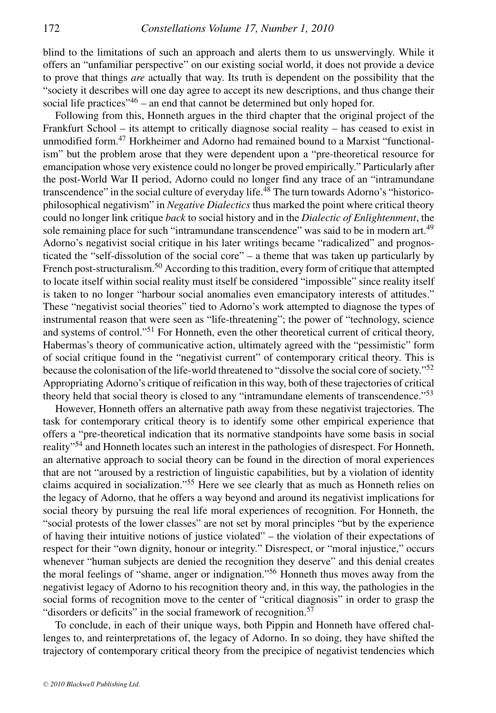blind to the limitations of such an approach and alerts them to us unswervingly. While it offers an "unfamiliar perspective" on our existing social world, it does not provide a device to prove that things *are* actually that way. Its truth is dependent on the possibility that the "society it describes will one day agree to accept its new descriptions, and thus change their social life practices"<sup>46</sup> – an end that cannot be determined but only hoped for.

Following from this, Honneth argues in the third chapter that the original project of the Frankfurt School – its attempt to critically diagnose social reality – has ceased to exist in unmodified form.<sup>47</sup> Horkheimer and Adorno had remained bound to a Marxist "functionalism" but the problem arose that they were dependent upon a "pre-theoretical resource for emancipation whose very existence could no longer be proved empirically." Particularly after the post-World War II period, Adorno could no longer find any trace of an "intramundane transcendence" in the social culture of everyday life.<sup>48</sup> The turn towards Adorno's "historicophilosophical negativism" in *Negative Dialectics* thus marked the point where critical theory could no longer link critique *back* to social history and in the *Dialectic of Enlightenment*, the sole remaining place for such "intramundane transcendence" was said to be in modern art.<sup>49</sup> Adorno's negativist social critique in his later writings became "radicalized" and prognosticated the "self-dissolution of the social core" – a theme that was taken up particularly by French post-structuralism.<sup>50</sup> According to this tradition, every form of critique that attempted to locate itself within social reality must itself be considered "impossible" since reality itself is taken to no longer "harbour social anomalies even emancipatory interests of attitudes." These "negativist social theories" tied to Adorno's work attempted to diagnose the types of instrumental reason that were seen as "life-threatening"; the power of "technology, science and systems of control."<sup>51</sup> For Honneth, even the other theoretical current of critical theory, Habermas's theory of communicative action, ultimately agreed with the "pessimistic" form of social critique found in the "negativist current" of contemporary critical theory. This is because the colonisation of the life-world threatened to "dissolve the social core of society."<sup>52</sup> Appropriating Adorno's critique of reification in this way, both of these trajectories of critical theory held that social theory is closed to any "intramundane elements of transcendence."<sup>53</sup>

However, Honneth offers an alternative path away from these negativist trajectories. The task for contemporary critical theory is to identify some other empirical experience that offers a "pre-theoretical indication that its normative standpoints have some basis in social reality"<sup>54</sup> and Honneth locates such an interest in the pathologies of disrespect. For Honneth, an alternative approach to social theory can be found in the direction of moral experiences that are not "aroused by a restriction of linguistic capabilities, but by a violation of identity claims acquired in socialization."<sup>55</sup> Here we see clearly that as much as Honneth relies on the legacy of Adorno, that he offers a way beyond and around its negativist implications for social theory by pursuing the real life moral experiences of recognition. For Honneth, the "social protests of the lower classes" are not set by moral principles "but by the experience of having their intuitive notions of justice violated" – the violation of their expectations of respect for their "own dignity, honour or integrity." Disrespect, or "moral injustice," occurs whenever "human subjects are denied the recognition they deserve" and this denial creates the moral feelings of "shame, anger or indignation."56 Honneth thus moves away from the negativist legacy of Adorno to his recognition theory and, in this way, the pathologies in the social forms of recognition move to the center of "critical diagnosis" in order to grasp the "disorders or deficits" in the social framework of recognition.<sup>57</sup>

To conclude, in each of their unique ways, both Pippin and Honneth have offered challenges to, and reinterpretations of, the legacy of Adorno. In so doing, they have shifted the trajectory of contemporary critical theory from the precipice of negativist tendencies which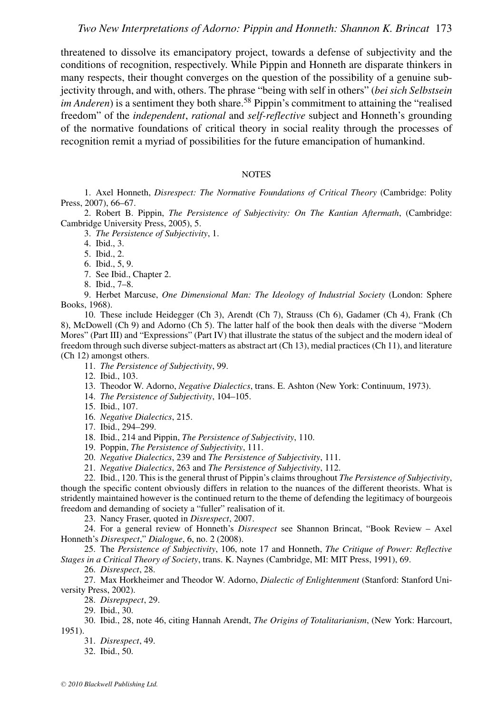threatened to dissolve its emancipatory project, towards a defense of subjectivity and the conditions of recognition, respectively. While Pippin and Honneth are disparate thinkers in many respects, their thought converges on the question of the possibility of a genuine subjectivity through, and with, others. The phrase "being with self in others" (*bei sich Selbstsein im Anderen*) is a sentiment they both share.<sup>58</sup> Pippin's commitment to attaining the "realised" freedom" of the *independent*, *rational* and *self-reflective* subject and Honneth's grounding of the normative foundations of critical theory in social reality through the processes of recognition remit a myriad of possibilities for the future emancipation of humankind.

#### **NOTES**

1. Axel Honneth, *Disrespect: The Normative Foundations of Critical Theory* (Cambridge: Polity Press, 2007), 66–67.

2. Robert B. Pippin, *The Persistence of Subjectivity: On The Kantian Aftermath*, (Cambridge: Cambridge University Press, 2005), 5.

3. *The Persistence of Subjectivity*, 1.

4. Ibid., 3.

5. Ibid., 2.

6. Ibid., 5, 9.

7. See Ibid., Chapter 2.

8. Ibid., 7–8.

9. Herbet Marcuse, *One Dimensional Man: The Ideology of Industrial Society* (London: Sphere Books, 1968).

10. These include Heidegger (Ch 3), Arendt (Ch 7), Strauss (Ch 6), Gadamer (Ch 4), Frank (Ch 8), McDowell (Ch 9) and Adorno (Ch 5). The latter half of the book then deals with the diverse "Modern Mores" (Part III) and "Expressions" (Part IV) that illustrate the status of the subject and the modern ideal of freedom through such diverse subject-matters as abstract art (Ch 13), medial practices (Ch 11), and literature (Ch 12) amongst others.

11. *The Persistence of Subjectivity*, 99.

12. Ibid., 103.

13. Theodor W. Adorno, *Negative Dialectics*, trans. E. Ashton (New York: Continuum, 1973).

14. *The Persistence of Subjectivity*, 104–105.

15. Ibid., 107.

16. *Negative Dialectics*, 215.

17. Ibid., 294–299.

18. Ibid., 214 and Pippin, *The Persistence of Subjectivity*, 110.

19. Poppin, *The Persistence of Subjectivity*, 111.

20. *Negative Dialectics*, 239 and *The Persistence of Subjectivity*, 111.

21. *Negative Dialectics*, 263 and *The Persistence of Subjectivity*, 112.

22. Ibid., 120. This is the general thrust of Pippin's claims throughout *The Persistence of Subjectivity*, though the specific content obviously differs in relation to the nuances of the different theorists. What is stridently maintained however is the continued return to the theme of defending the legitimacy of bourgeois freedom and demanding of society a "fuller" realisation of it.

23. Nancy Fraser, quoted in *Disrespect*, 2007.

24. For a general review of Honneth's *Disrespect* see Shannon Brincat, "Book Review – Axel Honneth's *Disrespect*," *Dialogue*, 6, no. 2 (2008).

25. The *Persistence of Subjectivity*, 106, note 17 and Honneth, *The Critique of Power: Reflective Stages in a Critical Theory of Society*, trans. K. Naynes (Cambridge, MI: MIT Press, 1991), 69.

26. *Disrespect*, 28.

27. Max Horkheimer and Theodor W. Adorno, *Dialectic of Enlightenment* (Stanford: Stanford University Press, 2002).

28. *Disrepspect*, 29.

29. Ibid., 30.

30. Ibid., 28, note 46, citing Hannah Arendt, *The Origins of Totalitarianism*, (New York: Harcourt, 1951).

31. *Disrespect*, 49.

32. Ibid., 50.